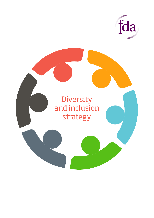

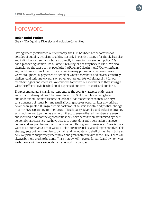### Foreword

#### **Helen Baird-Parker**

Chair – FDA Equality, Diversity and Inclusion Committee

Having recently celebrated our centenary, the FDA has been at the forefront of decades of equality activism, resulting not only in positive change for the civil service and individual civil servants, but also directly influencing government policy. We had a pioneering woman Chair, Dame Alix Kilroy, all the way back in 1944. We also championed the cause of gay people in the Foreign Office in the 1970s, when being gay could see you precluded from a career in many professions. In recent years we've brought equal pay cases on behalf of women members, and have successfully challenged discriminatory pension scheme changes. We will always fight for our members' rights and interests. We continue to protect our members as they struggle with the effects Covid has had on all aspects of our lives – at work and outside it.

The present moment is an important one, as the country grapples with racism and structural inequalities. The issues faced by LGBT+ people are being heard and understood. Women's safety, or lack of it, has made the headlines. Society's consciousness of issues big and small affecting people's opportunities at work has never been greater. It is against this backdrop, of seismic societal and political change, that the FDA is planning for the future. This Equality, Diversity and Inclusion Strategy sets out how we, together as a union, will act to ensure that all members are seen and included, and that the opportunities they have access to are not limited by their personal characteristics. We have access to better data and information than ever before, and we plan to use that to improve our offering to our members. There is more work to do ourselves, so that we as a union are more inclusive and representative. This strategy sets out how we plan to bargain and negotiate on behalf of members, but also how we plan to support representatives and grow activism within the FDA. There will always be more work to be done. This strategy will move us forward, and by next year, we hope we will have embedded a framework for progress.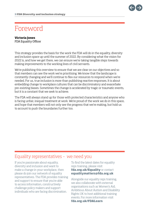

## Foreword

### **Victoria Jones**

FDA Equality Officer

This strategy provides the basis for the work the FDA will do in the equality, diversity and inclusion space up until the summer of 2022. By considering what the vision for 2022 is, and how we get there, we can ensure we're taking tangible steps towards making improvements to the working lives of civil servants.

We're publishing this overview to ensure that we are clear on our objectives and so that members can see the work we're prioritising. We know that the landscape is constantly changing and we'll continue to flex our resources to respond when we're needed. For us, true inclusion is more than publishing reactive responses. It is about embedding change to workplace cultures that can be discriminatory and exacerbate pre-existing biases. Sometimes the change is accelerated by tragic or traumatic events, but it is a constant that we seek to achieve.

The FDA will always stand up for those with protected characteristics and anyone who is facing unfair, inequal treatment at work. We're proud of the work we do in this space, and hope that members will not only see the progress that we're making, but hold us to account to push the boundaries further too.

### Equality representatives – we need you

If you're passionate about equality, diversity and inclusion and want to make a change in your workplace, then please do join our network of equality representatives. The FDA provides training and support to ensure that you're able to access information, constructively challenge policy makers and support individuals who are facing discrimination.

To find the latest dates for equality reps training, please visit **fda.org.uk/Equality** or contact **equalitymatters@fda.org.uk** 

Alongside our equality reps training, we also collaborate with external organisations such as Women's Aid, Ambitious About Autism and Disability Rights UK to host additional training events. For more information visit **fda.org.uk/FDALearn**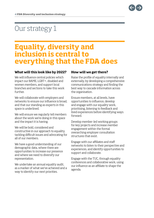# Our strategy 1

### **Equality, diversity and inclusion is central to everything that the FDA does**

#### **What will this look like by 2022?**

We will influence central policies which impact our BAME, LGBT+, disabled and women members, and support local branches and sections to take this work further.

We will collaborate with employers and networks to ensure our influence is broad, and that our standing as experts in this space is underlined.

We will ensure we regularly tell members about the work we're doing in this space and the impact it is having.

We will be bold, considered and constructive in our approach to equality, tackling difficult issues and advocating for all of our members.

We have a good understanding of our demographic data, where there are opportunities to increase our presence and where we need to diversify our representation.

We undertake an annual equality audit, as a marker of what we've achieved and a way to identify our next priorities.

#### **How will we get there?**

Raise the profile of equality internally and externally, by developing a comprehensive communications strategy and finding the best way to cascade information across the organisation.

Ensure members, at all levels, have opportunities to influence, develop and engage with our equality work, prioritising, listening to feedback and lived experiences before identifying ways forward.

Develop member-led working groups for key projects and increase member engagement within the formal overarching employer consultation structures that exist.

Engage with our affiliates and staff networks to listen to their perspective and experiences, and identify opportunities to support and collaborate.

Engage with the TUC, through equality conferences and collaborative work, using our influence as an affiliate to shape the agenda.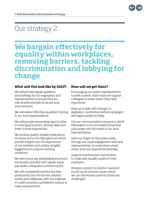

### Our strategy 2

### **We bargain effectively for equality within workplaces, removing barriers, tackling discrimination and lobbying for change**

#### **What will this look like by 2022?**

We will provide regular guidance and briefings for our negotiators and representatives to ensure they are well-briefed and able to secure local improvements.

We will deliver effective equalities training to our local representatives.

We will provide networking opportunities to share good practice, develop ideas and listen to lived experiences.

We produce quality, reliable publications on issues across the D&I spectrum which provide insights into the experiences of our members and outline tangible suggestions to improve working conditions.

We will ensure pay and grading structures are equality proofed with regular equal pay audits, using data to ensure equity.

We will consistently monitor the data produced by the civil service, identify trends and collaborate with the employer to outline priorities and identify actions to make improvements.

#### **How will we get there?**

Encouraging our expert representatives to draft content, share tools and support colleagues in areas where they have experience.

Keep up to date with changes to legislation, momentum behind campaigns and opportunities to lobby.

Use our communications resource to distill information in an accessible format that puts power into the hands of our local representatives.

Have our finger on the pulse locally, through our usual engagement work and representatives, to understand where issues arise and respond dynamically.

Support local branches and sections to undertake equality audits of their employers.

Develop a system to monitor casework to pick up on common issues where we can and ensure systemic issues are challenged.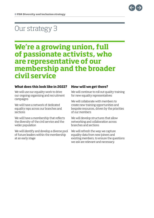

## Our strategy 3

### **We're a growing union, full of passionate activists, who are representative of our membership and the broader civil service**

#### **What does this look like in 2022?**

We will use our equality work to drive our ongoing organising and recruitment campaigns

We will have a network of dedicated equality reps across our branches and sections

We will have a membership that reflects the diversity of the civil service and the wider population

We will identify and develop a diverse pool of future leaders within the membership at an early stage

#### **How will we get there?**

We will continue to roll out quality training for new equality representatives

We will collaborate with members to create new training opportunities and bespoke resources, driven by the priorities of our members

We will develop structures that allow networking and collaboration across branches and sections

We will refresh the way we capture equality data from new joiners and existing members, to ensure the questions we ask are relevant and necessary.